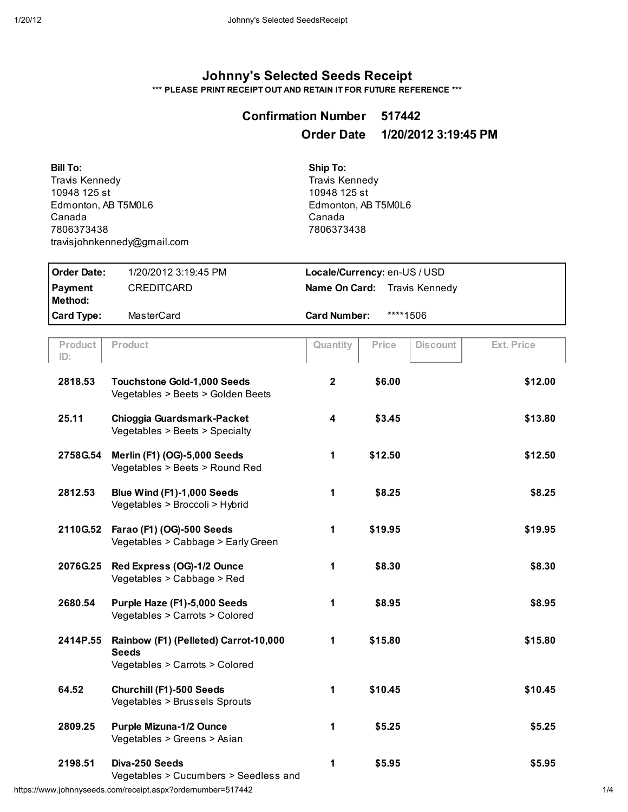## Johnny's Selected Seeds Receipt

\*\*\* PLEASE PRINT RECEIPT OUT AND RETAIN IT FOR FUTURE REFERENCE \*\*\*

## Confirmation Number 517442 Order Date 1/20/2012 3:19:45 PM

Bill To: **Travis Kennedy** 10948 125 st Edmonton, AB T5M0L6 Canada 7806373438 travisjohnkenned\@gmail.com Ship To: **Travis Kennedy** 10948 125 st Edmonton, AB T5M0L6 Canada 7806373438

| l Order Date:      | 1/20/2012 3:19:45 PM | Locale/Currency: en-US / USD        |          |  |
|--------------------|----------------------|-------------------------------------|----------|--|
| Payment<br>Method: | <b>CREDITCARD</b>    | <b>Name On Card:</b> Travis Kennedy |          |  |
| <b>Card Type:</b>  | MasterCard           | <b>Card Number:</b>                 | ****1506 |  |

| Product<br>ID: | Product                                                                                 | Quantity       | Price   | <b>Discount</b> | <b>Ext. Price</b> |
|----------------|-----------------------------------------------------------------------------------------|----------------|---------|-----------------|-------------------|
| 2818.53        | <b>Touchstone Gold-1,000 Seeds</b><br>Vegetables > Beets > Golden Beets                 | $\overline{2}$ | \$6.00  |                 | \$12.00           |
| 25.11          | Chioggia Guardsmark-Packet<br>Vegetables > Beets > Specialty                            | 4              | \$3.45  |                 | \$13.80           |
| 2758G.54       | Merlin (F1) (OG)-5,000 Seeds<br>Vegetables > Beets > Round Red                          | 1              | \$12.50 |                 | \$12.50           |
| 2812.53        | Blue Wind (F1)-1,000 Seeds<br>Vegetables > Broccoli > Hybrid                            | 1              | \$8.25  |                 | \$8.25            |
| 2110G.52       | Farao (F1) (OG)-500 Seeds<br>Vegetables > Cabbage > Early Green                         | 1              | \$19.95 |                 | \$19.95           |
| 2076G.25       | Red Express (OG)-1/2 Ounce<br>Vegetables > Cabbage > Red                                | 1              | \$8.30  |                 | \$8.30            |
| 2680.54        | Purple Haze (F1)-5,000 Seeds<br>Vegetables > Carrots > Colored                          | 1              | \$8.95  |                 | \$8.95            |
| 2414P.55       | Rainbow (F1) (Pelleted) Carrot-10,000<br><b>Seeds</b><br>Vegetables > Carrots > Colored | 1              | \$15.80 |                 | \$15.80           |
| 64.52          | Churchill (F1)-500 Seeds<br>Vegetables > Brussels Sprouts                               | 1              | \$10.45 |                 | \$10.45           |
| 2809.25        | <b>Purple Mizuna-1/2 Ounce</b><br>Vegetables > Greens > Asian                           | 1              | \$5.25  |                 | \$5.25            |
| 2198.51        | Diva-250 Seeds<br>Vegetables > Cucumbers > Seedless and                                 | 1              | \$5.95  |                 | \$5.95            |

https://www.johnnyseeds.com/receipt.aspx?ordernumber=517442 1/4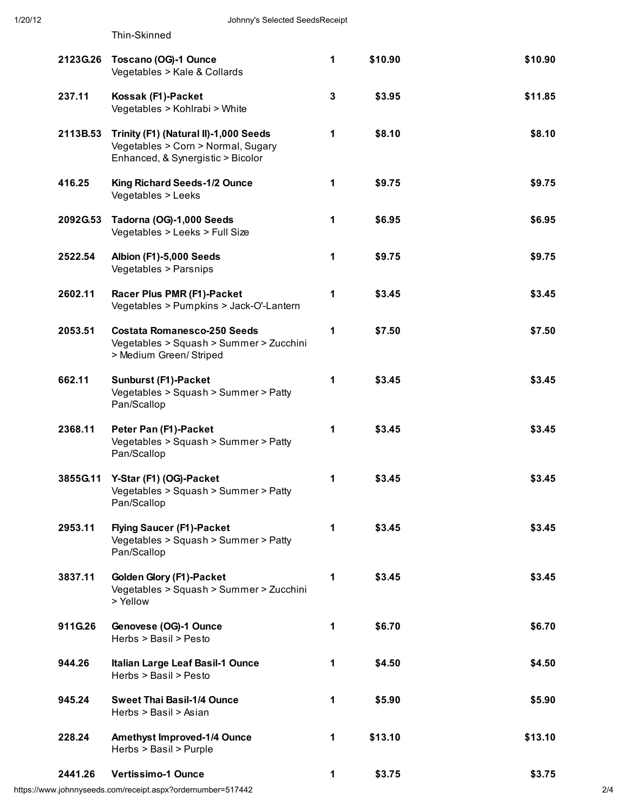Thin-Skinned

| 2123G.26 | Toscano (OG)-1 Ounce<br>Vegetables > Kale & Collards                                                             | 1            | \$10.90 | \$10.90 |
|----------|------------------------------------------------------------------------------------------------------------------|--------------|---------|---------|
| 237.11   | Kossak (F1)-Packet<br>Vegetables > Kohlrabi > White                                                              | $\mathbf{3}$ | \$3.95  | \$11.85 |
| 2113B.53 | Trinity (F1) (Natural II)-1,000 Seeds<br>Vegetables > Corn > Normal, Sugary<br>Enhanced, & Synergistic > Bicolor | 1            | \$8.10  | \$8.10  |
| 416.25   | King Richard Seeds-1/2 Ounce<br>Vegetables > Leeks                                                               | 1            | \$9.75  | \$9.75  |
| 2092G.53 | Tadorna (OG)-1,000 Seeds<br>Vegetables > Leeks > Full Size                                                       | 1            | \$6.95  | \$6.95  |
| 2522.54  | Albion (F1)-5,000 Seeds<br>Vegetables > Parsnips                                                                 | 1            | \$9.75  | \$9.75  |
| 2602.11  | Racer Plus PMR (F1)-Packet<br>Vegetables > Pumpkins > Jack-O'-Lantern                                            | 1            | \$3.45  | \$3.45  |
| 2053.51  | <b>Costata Romanesco-250 Seeds</b><br>Vegetables > Squash > Summer > Zucchini<br>> Medium Green/ Striped         | 1            | \$7.50  | \$7.50  |
| 662.11   | Sunburst (F1)-Packet<br>Vegetables > Squash > Summer > Patty<br>Pan/Scallop                                      | 1            | \$3.45  | \$3.45  |
| 2368.11  | Peter Pan (F1)-Packet<br>Vegetables > Squash > Summer > Patty<br>Pan/Scallop                                     | 1            | \$3.45  | \$3.45  |
| 3855G.11 | Y-Star (F1) (OG)-Packet<br>Vegetables > Squash > Summer > Patty<br>Pan/Scallop                                   | 1            | \$3.45  | \$3.45  |
| 2953.11  | <b>Flying Saucer (F1)-Packet</b><br>Vegetables > Squash > Summer > Patty<br>Pan/Scallop                          | 1            | \$3.45  | \$3.45  |
| 3837.11  | Golden Glory (F1)-Packet<br>Vegetables > Squash > Summer > Zucchini<br>> Yellow                                  | 1            | \$3.45  | \$3.45  |
| 911G.26  | Genovese (OG)-1 Ounce<br>Herbs > Basil > Pesto                                                                   | 1            | \$6.70  | \$6.70  |
| 944.26   | Italian Large Leaf Basil-1 Ounce<br>Herbs > Basil > Pesto                                                        | 1            | \$4.50  | \$4.50  |
| 945.24   | <b>Sweet Thai Basil-1/4 Ounce</b><br>Herbs > Basil > Asian                                                       | 1            | \$5.90  | \$5.90  |
| 228.24   | Amethyst Improved-1/4 Ounce<br>Herbs > Basil > Purple                                                            | 1            | \$13.10 | \$13.10 |
| 2441.26  | <b>Vertissimo-1 Ounce</b>                                                                                        | 1            | \$3.75  | \$3.75  |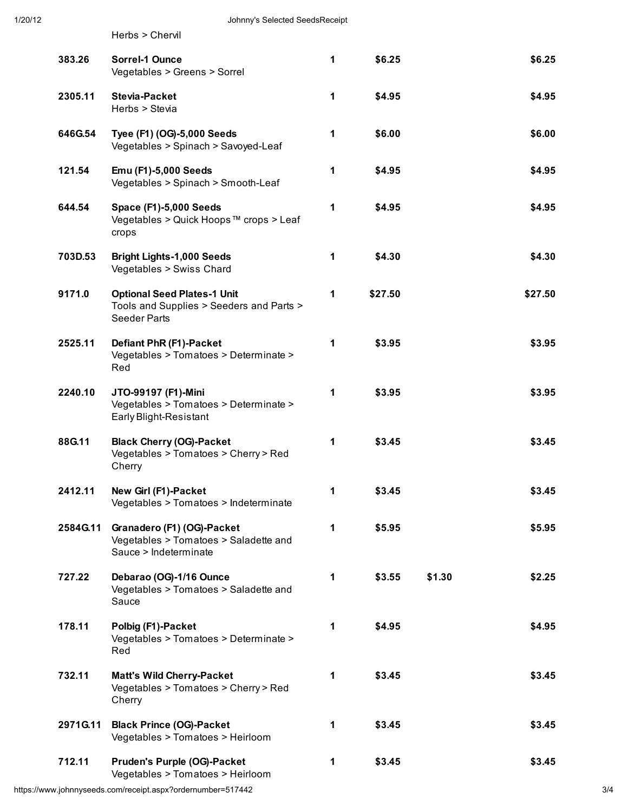Herbs > Chervil

| 383.26   | <b>Sorrel-1 Ounce</b><br>Vegetables > Greens > Sorrel                                                 | 1            | \$6.25  |        | \$6.25  |
|----------|-------------------------------------------------------------------------------------------------------|--------------|---------|--------|---------|
| 2305.11  | <b>Stevia-Packet</b><br>Herbs > Stevia                                                                | 1            | \$4.95  |        | \$4.95  |
| 646G.54  | Tyee (F1) (OG)-5,000 Seeds<br>Vegetables > Spinach > Savoyed-Leaf                                     | 1            | \$6.00  |        | \$6.00  |
| 121.54   | Emu (F1)-5,000 Seeds<br>Vegetables > Spinach > Smooth-Leaf                                            | 1            | \$4.95  |        | \$4.95  |
| 644.54   | <b>Space (F1)-5,000 Seeds</b><br>Vegetables > Quick Hoops™ crops > Leaf<br>crops                      | 1            | \$4.95  |        | \$4.95  |
| 703D.53  | <b>Bright Lights-1,000 Seeds</b><br>Vegetables > Swiss Chard                                          | 1            | \$4.30  |        | \$4.30  |
| 9171.0   | <b>Optional Seed Plates-1 Unit</b><br>Tools and Supplies > Seeders and Parts ><br><b>Seeder Parts</b> | 1            | \$27.50 |        | \$27.50 |
| 2525.11  | Defiant PhR (F1)-Packet<br>Vegetables > Tomatoes > Determinate ><br>Red                               | 1            | \$3.95  |        | \$3.95  |
| 2240.10  | JTO-99197 (F1)-Mini<br>Vegetables > Tomatoes > Determinate ><br>Early Blight-Resistant                | 1            | \$3.95  |        | \$3.95  |
| 88G.11   | <b>Black Cherry (OG)-Packet</b><br>Vegetables > Tomatoes > Cherry > Red<br>Cherry                     | 1            | \$3.45  |        | \$3.45  |
| 2412.11  | New Girl (F1)-Packet<br>Vegetables > Tomatoes > Indeterminate                                         | 1            | \$3.45  |        | \$3.45  |
| 2584G.11 | Granadero (F1) (OG)-Packet<br>Vegetables > Tomatoes > Saladette and<br>Sauce > Indeterminate          | 1            | \$5.95  |        | \$5.95  |
| 727.22   | Debarao (OG)-1/16 Ounce<br>Vegetables > Tomatoes > Saladette and<br>Sauce                             | $\mathbf{1}$ | \$3.55  | \$1.30 | \$2.25  |
| 178.11   | Polbig (F1)-Packet<br>Vegetables > Tomatoes > Determinate ><br>Red                                    | $\mathbf{1}$ | \$4.95  |        | \$4.95  |
| 732.11   | <b>Matt's Wild Cherry-Packet</b><br>Vegetables > Tomatoes > Cherry > Red<br>Cherry                    | $\mathbf{1}$ | \$3.45  |        | \$3.45  |
| 2971G.11 | <b>Black Prince (OG)-Packet</b><br>Vegetables > Tomatoes > Heirloom                                   | 1            | \$3.45  |        | \$3.45  |
| 712.11   | <b>Pruden's Purple (OG)-Packet</b><br>Vegetables > Tomatoes > Heirloom                                | 1            | \$3.45  |        | \$3.45  |